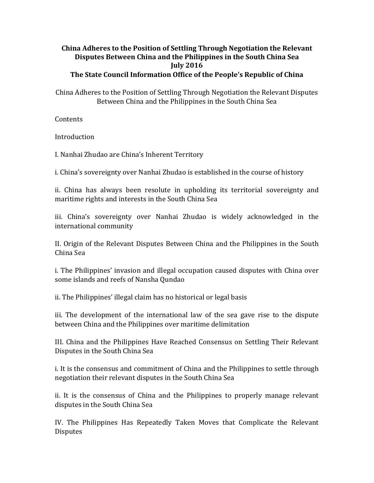## **China Adheres to the Position of Settling Through Negotiation the Relevant Disputes Between China and the Philippines in the South China Sea July 2016**

## **The State Council Information Office of the People's Republic of China**

China Adheres to the Position of Settling Through Negotiation the Relevant Disputes Between China and the Philippines in the South China Sea

Contents

Introduction

I. Nanhai Zhudao are China's Inherent Territory

i. China's sovereignty over Nanhai Zhudao is established in the course of history

ii. China has always been resolute in upholding its territorial sovereignty and maritime rights and interests in the South China Sea

iii. China's sovereignty over Nanhai Zhudao is widely acknowledged in the international community

II. Origin of the Relevant Disputes Between China and the Philippines in the South China Sea

i. The Philippines' invasion and illegal occupation caused disputes with China over some islands and reefs of Nansha Oundao

ii. The Philippines' illegal claim has no historical or legal basis

iii. The development of the international law of the sea gave rise to the dispute between China and the Philippines over maritime delimitation

III. China and the Philippines Have Reached Consensus on Settling Their Relevant Disputes in the South China Sea

i. It is the consensus and commitment of China and the Philippines to settle through negotiation their relevant disputes in the South China Sea

ii. It is the consensus of China and the Philippines to properly manage relevant disputes in the South China Sea

IV. The Philippines Has Repeatedly Taken Moves that Complicate the Relevant **Disputes**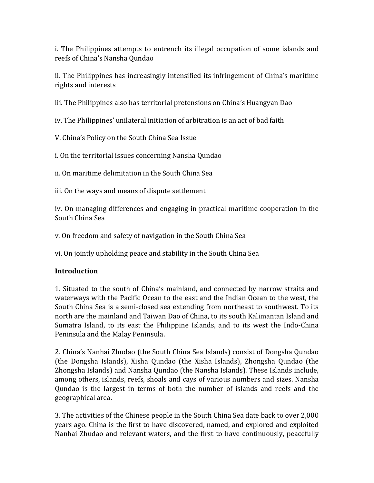i. The Philippines attempts to entrench its illegal occupation of some islands and reefs of China's Nansha Oundao

ii. The Philippines has increasingly intensified its infringement of China's maritime rights and interests

iii. The Philippines also has territorial pretensions on China's Huangyan Dao

iv. The Philippines' unilateral initiation of arbitration is an act of bad faith

V. China's Policy on the South China Sea Issue

i. On the territorial issues concerning Nansha Qundao

ii. On maritime delimitation in the South China Sea

iii. On the ways and means of dispute settlement

iv. On managing differences and engaging in practical maritime cooperation in the South China Sea

v. On freedom and safety of navigation in the South China Sea

vi. On jointly upholding peace and stability in the South China Sea

## **Introduction**

1. Situated to the south of China's mainland, and connected by narrow straits and waterways with the Pacific Ocean to the east and the Indian Ocean to the west, the South China Sea is a semi-closed sea extending from northeast to southwest. To its north are the mainland and Taiwan Dao of China, to its south Kalimantan Island and Sumatra Island, to its east the Philippine Islands, and to its west the Indo-China Peninsula and the Malay Peninsula.

2. China's Nanhai Zhudao (the South China Sea Islands) consist of Dongsha Qundao (the Dongsha Islands), Xisha Qundao (the Xisha Islands), Zhongsha Qundao (the Zhongsha Islands) and Nansha Qundao (the Nansha Islands). These Islands include, among others, islands, reefs, shoals and cays of various numbers and sizes. Nansha Qundao is the largest in terms of both the number of islands and reefs and the geographical area.

3. The activities of the Chinese people in the South China Sea date back to over 2,000 years ago. China is the first to have discovered, named, and explored and exploited Nanhai Zhudao and relevant waters, and the first to have continuously, peacefully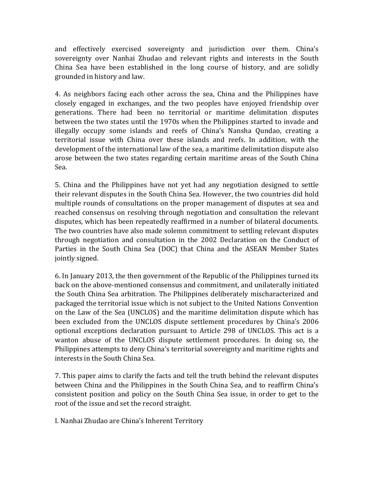and effectively exercised sovereignty and jurisdiction over them. China's sovereignty over Nanhai Zhudao and relevant rights and interests in the South China Sea have been established in the long course of history, and are solidly grounded in history and law.

4. As neighbors facing each other across the sea, China and the Philippines have closely engaged in exchanges, and the two peoples have enjoyed friendship over generations. There had been no territorial or maritime delimitation disputes between the two states until the 1970s when the Philippines started to invade and illegally occupy some islands and reefs of China's Nansha Qundao, creating a territorial issue with China over these islands and reefs. In addition, with the development of the international law of the sea, a maritime delimitation dispute also arose between the two states regarding certain maritime areas of the South China Sea.

5. China and the Philippines have not yet had any negotiation designed to settle their relevant disputes in the South China Sea. However, the two countries did hold multiple rounds of consultations on the proper management of disputes at sea and reached consensus on resolving through negotiation and consultation the relevant disputes, which has been repeatedly reaffirmed in a number of bilateral documents. The two countries have also made solemn commitment to settling relevant disputes through negotiation and consultation in the 2002 Declaration on the Conduct of Parties in the South China Sea (DOC) that China and the ASEAN Member States jointly signed.

6. In January 2013, the then government of the Republic of the Philippines turned its back on the above-mentioned consensus and commitment, and unilaterally initiated the South China Sea arbitration. The Philippines deliberately mischaracterized and packaged the territorial issue which is not subject to the United Nations Convention on the Law of the Sea (UNCLOS) and the maritime delimitation dispute which has been excluded from the UNCLOS dispute settlement procedures by China's 2006 optional exceptions declaration pursuant to Article 298 of UNCLOS. This act is a wanton abuse of the UNCLOS dispute settlement procedures. In doing so, the Philippines attempts to deny China's territorial sovereignty and maritime rights and interests in the South China Sea.

7. This paper aims to clarify the facts and tell the truth behind the relevant disputes between China and the Philippines in the South China Sea, and to reaffirm China's consistent position and policy on the South China Sea issue, in order to get to the root of the issue and set the record straight.

I. Nanhai Zhudao are China's Inherent Territory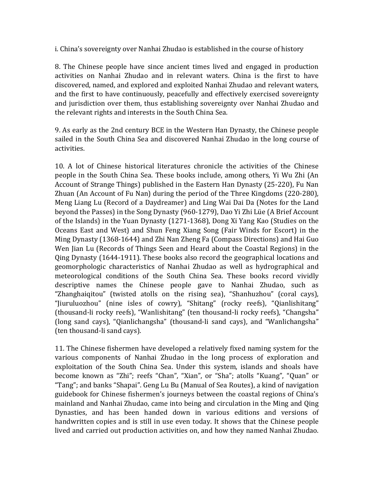i. China's sovereignty over Nanhai Zhudao is established in the course of history

8. The Chinese people have since ancient times lived and engaged in production activities on Nanhai Zhudao and in relevant waters. China is the first to have discovered, named, and explored and exploited Nanhai Zhudao and relevant waters, and the first to have continuously, peacefully and effectively exercised sovereignty and jurisdiction over them, thus establishing sovereignty over Nanhai Zhudao and the relevant rights and interests in the South China Sea.

9. As early as the 2nd century BCE in the Western Han Dynasty, the Chinese people sailed in the South China Sea and discovered Nanhai Zhudao in the long course of activities.

10. A lot of Chinese historical literatures chronicle the activities of the Chinese people in the South China Sea. These books include, among others, Yi Wu Zhi (An Account of Strange Things) published in the Eastern Han Dynasty (25-220), Fu Nan Zhuan (An Account of Fu Nan) during the period of the Three Kingdoms (220-280), Meng Liang Lu (Record of a Daydreamer) and Ling Wai Dai Da (Notes for the Land beyond the Passes) in the Song Dynasty (960-1279), Dao Yi Zhi Lüe (A Brief Account of the Islands) in the Yuan Dynasty (1271-1368), Dong Xi Yang Kao (Studies on the Oceans East and West) and Shun Feng Xiang Song (Fair Winds for Escort) in the Ming Dynasty (1368-1644) and Zhi Nan Zheng Fa (Compass Directions) and Hai Guo Wen Jian Lu (Records of Things Seen and Heard about the Coastal Regions) in the Oing Dynasty (1644-1911). These books also record the geographical locations and geomorphologic characteristics of Nanhai Zhudao as well as hydrographical and meteorological conditions of the South China Sea. These books record vividly descriptive names the Chinese people gave to Nanhai Zhudao, such as "Zhanghaiqitou" (twisted atolls on the rising sea), "Shanhuzhou" (coral cays), "Jiuruluozhou" (nine isles of cowry), "Shitang" (rocky reefs), "Qianlishitang" (thousand-li rocky reefs), "Wanlishitang" (ten thousand-li rocky reefs), "Changsha" (long sand cays), "Qianlichangsha" (thousand-li sand cays), and "Wanlichangsha" (ten thousand-li sand cays).

11. The Chinese fishermen have developed a relatively fixed naming system for the various components of Nanhai Zhudao in the long process of exploration and exploitation of the South China Sea. Under this system, islands and shoals have become known as "Zhi"; reefs "Chan", "Xian", or "Sha"; atolls "Kuang", "Quan" or "Tang"; and banks "Shapai". Geng Lu Bu (Manual of Sea Routes), a kind of navigation guidebook for Chinese fishermen's journeys between the coastal regions of China's mainland and Nanhai Zhudao, came into being and circulation in the Ming and Qing Dynasties, and has been handed down in various editions and versions of handwritten copies and is still in use even today. It shows that the Chinese people lived and carried out production activities on, and how they named Nanhai Zhudao.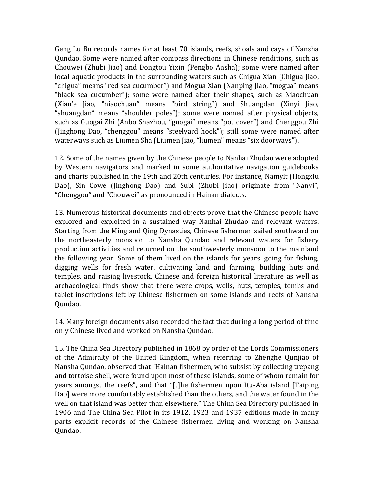Geng Lu Bu records names for at least 70 islands, reefs, shoals and cays of Nansha Qundao. Some were named after compass directions in Chinese renditions, such as Chouwei (Zhubi Jiao) and Dongtou Yixin (Pengbo Ansha); some were named after local aquatic products in the surrounding waters such as Chigua Xian (Chigua Jiao, "chigua" means "red sea cucumber") and Mogua Xian (Nanping Jiao, "mogua" means "black sea cucumber"); some were named after their shapes, such as Niaochuan (Xian'e Jiao, "niaochuan" means "bird string") and Shuangdan (Xinyi Jiao, "shuangdan" means "shoulder poles"); some were named after physical objects, such as Guogai Zhi (Anbo Shazhou, "guogai" means "pot cover") and Chenggou Zhi (Jinghong Dao, "chenggou" means "steelyard hook"); still some were named after waterways such as Liumen Sha (Liumen Jiao, "liumen" means "six doorways").

12. Some of the names given by the Chinese people to Nanhai Zhudao were adopted by Western navigators and marked in some authoritative navigation guidebooks and charts published in the 19th and 20th centuries. For instance, Namyit (Hongxiu Dao), Sin Cowe (Jinghong Dao) and Subi (Zhubi Jiao) originate from "Nanyi", "Chenggou" and "Chouwei" as pronounced in Hainan dialects.

13. Numerous historical documents and objects prove that the Chinese people have explored and exploited in a sustained way Nanhai Zhudao and relevant waters. Starting from the Ming and Qing Dynasties, Chinese fishermen sailed southward on the northeasterly monsoon to Nansha Qundao and relevant waters for fishery production activities and returned on the southwesterly monsoon to the mainland the following year. Some of them lived on the islands for years, going for fishing, digging wells for fresh water, cultivating land and farming, building huts and temples, and raising livestock. Chinese and foreign historical literature as well as archaeological finds show that there were crops, wells, huts, temples, tombs and tablet inscriptions left by Chinese fishermen on some islands and reefs of Nansha Qundao.

14. Many foreign documents also recorded the fact that during a long period of time only Chinese lived and worked on Nansha Qundao.

15. The China Sea Directory published in 1868 by order of the Lords Commissioners of the Admiralty of the United Kingdom, when referring to Zhenghe Qunjiao of Nansha Qundao, observed that "Hainan fishermen, who subsist by collecting trepang and tortoise-shell, were found upon most of these islands, some of whom remain for years amongst the reefs", and that "[t]he fishermen upon Itu-Aba island [Taiping Dao] were more comfortably established than the others, and the water found in the well on that island was better than elsewhere." The China Sea Directory published in 1906 and The China Sea Pilot in its 1912, 1923 and 1937 editions made in many parts explicit records of the Chinese fishermen living and working on Nansha Qundao.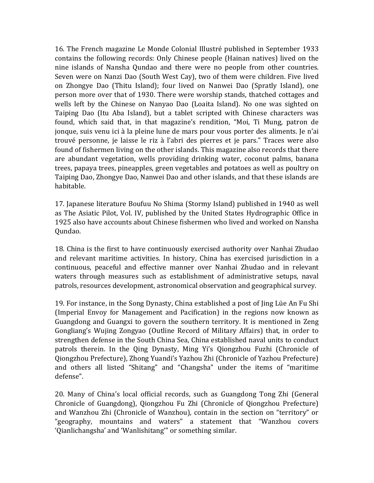16. The French magazine Le Monde Colonial Illustré published in September 1933 contains the following records: Only Chinese people (Hainan natives) lived on the nine islands of Nansha Qundao and there were no people from other countries. Seven were on Nanzi Dao (South West Cay), two of them were children. Five lived on Zhongye Dao (Thitu Island); four lived on Nanwei Dao (Spratly Island), one person more over that of 1930. There were worship stands, thatched cottages and wells left by the Chinese on Nanyao Dao (Loaita Island). No one was sighted on Taiping Dao (Itu Aba Island), but a tablet scripted with Chinese characters was found, which said that, in that magazine's rendition, "Moi, Ti Mung, patron de jonque, suis venu ici à la pleine lune de mars pour vous porter des aliments. Je n'ai trouvé personne, je laisse le riz à l'abri des pierres et je pars." Traces were also found of fishermen living on the other islands. This magazine also records that there are abundant vegetation, wells providing drinking water, coconut palms, banana trees, papaya trees, pineapples, green vegetables and potatoes as well as poultry on Taiping Dao, Zhongye Dao, Nanwei Dao and other islands, and that these islands are habitable.

17. Japanese literature Boufuu No Shima (Stormy Island) published in 1940 as well as The Asiatic Pilot, Vol. IV, published by the United States Hydrographic Office in 1925 also have accounts about Chinese fishermen who lived and worked on Nansha Qundao.

18. China is the first to have continuously exercised authority over Nanhai Zhudao and relevant maritime activities. In history, China has exercised jurisdiction in a continuous, peaceful and effective manner over Nanhai Zhudao and in relevant waters through measures such as establishment of administrative setups, naval patrols, resources development, astronomical observation and geographical survey.

19. For instance, in the Song Dynasty, China established a post of ling Lüe An Fu Shi (Imperial Envoy for Management and Pacification) in the regions now known as Guangdong and Guangxi to govern the southern territory. It is mentioned in Zeng Gongliang's Wujing Zongyao (Outline Record of Military Affairs) that, in order to strengthen defense in the South China Sea, China established naval units to conduct patrols therein. In the Qing Dynasty, Ming Yi's Qiongzhou Fuzhi (Chronicle of Qiongzhou Prefecture), Zhong Yuandi's Yazhou Zhi (Chronicle of Yazhou Prefecture) and others all listed "Shitang" and "Changsha" under the items of "maritime defense".

20. Many of China's local official records, such as Guangdong Tong Zhi (General Chronicle of Guangdong), Qiongzhou Fu Zhi (Chronicle of Qiongzhou Prefecture) and Wanzhou Zhi (Chronicle of Wanzhou), contain in the section on "territory" or "geography, mountains and waters" a statement that "Wanzhou covers 'Qianlichangsha' and 'Wanlishitang'" or something similar.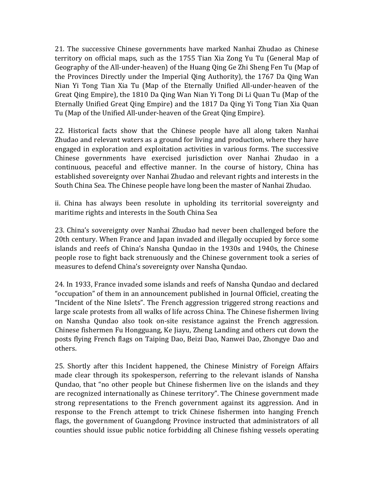21. The successive Chinese governments have marked Nanhai Zhudao as Chinese territory on official maps, such as the 1755 Tian Xia Zong Yu Tu (General Map of Geography of the All-under-heaven) of the Huang Oing Ge Zhi Sheng Fen Tu (Map of the Provinces Directly under the Imperial Oing Authority), the 1767 Da Oing Wan Nian Yi Tong Tian Xia Tu (Map of the Eternally Unified All-under-heaven of the Great Oing Empire), the 1810 Da Oing Wan Nian Yi Tong Di Li Quan Tu (Map of the Eternally Unified Great Qing Empire) and the 1817 Da Qing Yi Tong Tian Xia Quan Tu (Map of the Unified All-under-heaven of the Great Oing Empire).

22. Historical facts show that the Chinese people have all along taken Nanhai Zhudao and relevant waters as a ground for living and production, where they have engaged in exploration and exploitation activities in various forms. The successive Chinese governments have exercised jurisdiction over Nanhai Zhudao in a continuous, peaceful and effective manner. In the course of history, China has established sovereignty over Nanhai Zhudao and relevant rights and interests in the South China Sea. The Chinese people have long been the master of Nanhai Zhudao.

ii. China has always been resolute in upholding its territorial sovereignty and maritime rights and interests in the South China Sea

23. China's sovereignty over Nanhai Zhudao had never been challenged before the 20th century. When France and Japan invaded and illegally occupied by force some islands and reefs of China's Nansha Qundao in the 1930s and 1940s, the Chinese people rose to fight back strenuously and the Chinese government took a series of measures to defend China's sovereignty over Nansha Qundao.

24. In 1933, France invaded some islands and reefs of Nansha Qundao and declared "occupation" of them in an announcement published in Journal Officiel, creating the "Incident of the Nine Islets". The French aggression triggered strong reactions and large scale protests from all walks of life across China. The Chinese fishermen living on Nansha Qundao also took on-site resistance against the French aggression. Chinese fishermen Fu Hongguang, Ke Jiayu, Zheng Landing and others cut down the posts flying French flags on Taiping Dao, Beizi Dao, Nanwei Dao, Zhongye Dao and others.

25. Shortly after this Incident happened, the Chinese Ministry of Foreign Affairs made clear through its spokesperson, referring to the relevant islands of Nansha Qundao, that "no other people but Chinese fishermen live on the islands and they are recognized internationally as Chinese territory". The Chinese government made strong representations to the French government against its aggression. And in response to the French attempt to trick Chinese fishermen into hanging French flags, the government of Guangdong Province instructed that administrators of all counties should issue public notice forbidding all Chinese fishing vessels operating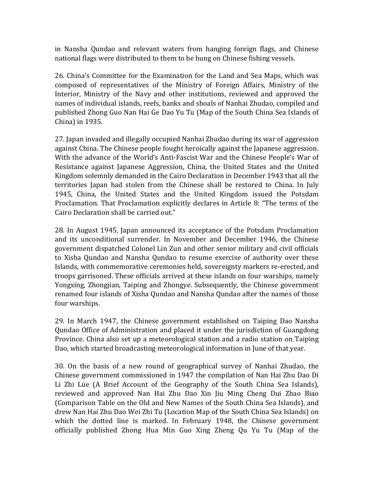in Nansha Qundao and relevant waters from hanging foreign flags, and Chinese national flags were distributed to them to be hung on Chinese fishing vessels.

26. China's Committee for the Examination for the Land and Sea Maps, which was composed of representatives of the Ministry of Foreign Affairs, Ministry of the Interior, Ministry of the Navy and other institutions, reviewed and approved the names of individual islands, reefs, banks and shoals of Nanhai Zhudao, compiled and published Zhong Guo Nan Hai Ge Dao Yu Tu (Map of the South China Sea Islands of China) in  $1935$ .

27. Japan invaded and illegally occupied Nanhai Zhudao during its war of aggression against China. The Chinese people fought heroically against the Japanese aggression. With the advance of the World's Anti-Fascist War and the Chinese People's War of Resistance against Japanese Aggression, China, the United States and the United Kingdom solemnly demanded in the Cairo Declaration in December 1943 that all the territories Japan had stolen from the Chinese shall be restored to China. In July 1945, China, the United States and the United Kingdom issued the Potsdam Proclamation. That Proclamation explicitly declares in Article 8: "The terms of the Cairo Declaration shall be carried out."

28. In August 1945, Japan announced its acceptance of the Potsdam Proclamation and its unconditional surrender. In November and December 1946, the Chinese government dispatched Colonel Lin Zun and other senior military and civil officials to Xisha Oundao and Nansha Oundao to resume exercise of authority over these Islands, with commemorative ceremonies held, sovereignty markers re-erected, and troops garrisoned. These officials arrived at these islands on four warships, namely Yongxing, Zhongjian, Taiping and Zhongye. Subsequently, the Chinese government renamed four islands of Xisha Oundao and Nansha Oundao after the names of those four warships.

29. In March 1947, the Chinese government established on Taiping Dao Nansha Qundao Office of Administration and placed it under the jurisdiction of Guangdong Province. China also set up a meteorological station and a radio station on Taiping Dao, which started broadcasting meteorological information in June of that year.

30. On the basis of a new round of geographical survey of Nanhai Zhudao, the Chinese government commissioned in 1947 the compilation of Nan Hai Zhu Dao Di Li Zhi Lüe (A Brief Account of the Geography of the South China Sea Islands), reviewed and approved Nan Hai Zhu Dao Xin Jiu Ming Cheng Dui Zhao Biao (Comparison Table on the Old and New Names of the South China Sea Islands), and drew Nan Hai Zhu Dao Wei Zhi Tu (Location Map of the South China Sea Islands) on which the dotted line is marked. In February 1948, the Chinese government officially published Zhong Hua Min Guo Xing Zheng Qu Yu Tu (Map of the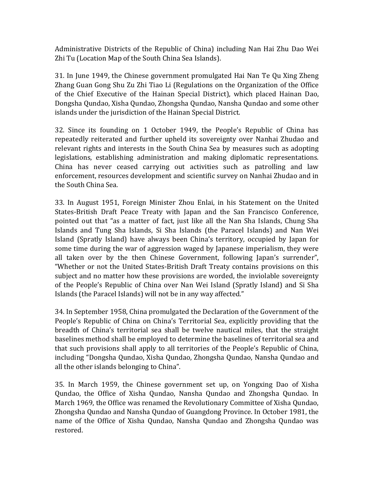Administrative Districts of the Republic of China) including Nan Hai Zhu Dao Wei Zhi Tu (Location Map of the South China Sea Islands).

31. In June 1949, the Chinese government promulgated Hai Nan Te Qu Xing Zheng Zhang Guan Gong Shu Zu Zhi Tiao Li (Regulations on the Organization of the Office of the Chief Executive of the Hainan Special District), which placed Hainan Dao, Dongsha Qundao, Xisha Qundao, Zhongsha Qundao, Nansha Qundao and some other islands under the jurisdiction of the Hainan Special District.

32. Since its founding on 1 October 1949, the People's Republic of China has repeatedly reiterated and further upheld its sovereignty over Nanhai Zhudao and relevant rights and interests in the South China Sea by measures such as adopting legislations, establishing administration and making diplomatic representations. China has never ceased carrying out activities such as patrolling and law enforcement, resources development and scientific survey on Nanhai Zhudao and in the South China Sea.

33. In August 1951, Foreign Minister Zhou Enlai, in his Statement on the United States-British Draft Peace Treaty with Japan and the San Francisco Conference, pointed out that "as a matter of fact, just like all the Nan Sha Islands, Chung Sha Islands and Tung Sha Islands, Si Sha Islands (the Paracel Islands) and Nan Wei Island (Spratly Island) have always been China's territory, occupied by Japan for some time during the war of aggression waged by Japanese imperialism, they were all taken over by the then Chinese Government, following Japan's surrender", "Whether or not the United States-British Draft Treaty contains provisions on this subject and no matter how these provisions are worded, the inviolable sovereignty of the People's Republic of China over Nan Wei Island (Spratly Island) and Si Sha Islands (the Paracel Islands) will not be in any way affected."

34. In September 1958, China promulgated the Declaration of the Government of the People's Republic of China on China's Territorial Sea, explicitly providing that the breadth of China's territorial sea shall be twelve nautical miles, that the straight baselines method shall be employed to determine the baselines of territorial sea and that such provisions shall apply to all territories of the People's Republic of China, including "Dongsha Qundao, Xisha Qundao, Zhongsha Qundao, Nansha Qundao and all the other islands belonging to China".

35. In March 1959, the Chinese government set up, on Yongxing Dao of Xisha Qundao, the Office of Xisha Qundao, Nansha Qundao and Zhongsha Qundao. In March 1969, the Office was renamed the Revolutionary Committee of Xisha Qundao, Zhongsha Qundao and Nansha Qundao of Guangdong Province. In October 1981, the name of the Office of Xisha Qundao, Nansha Qundao and Zhongsha Qundao was restored.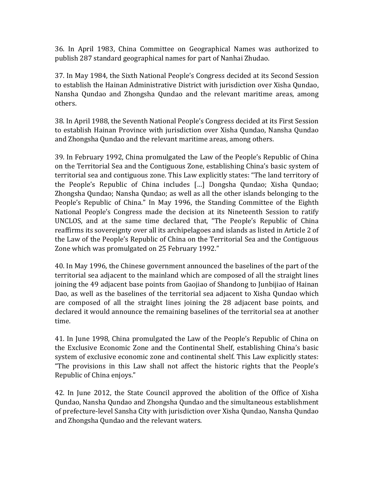36. In April 1983, China Committee on Geographical Names was authorized to publish 287 standard geographical names for part of Nanhai Zhudao.

37. In May 1984, the Sixth National People's Congress decided at its Second Session to establish the Hainan Administrative District with jurisdiction over Xisha Qundao, Nansha Qundao and Zhongsha Qundao and the relevant maritime areas, among others.

38. In April 1988, the Seventh National People's Congress decided at its First Session to establish Hainan Province with jurisdiction over Xisha Qundao, Nansha Qundao and Zhongsha Qundao and the relevant maritime areas, among others.

39. In February 1992, China promulgated the Law of the People's Republic of China on the Territorial Sea and the Contiguous Zone, establishing China's basic system of territorial sea and contiguous zone. This Law explicitly states: "The land territory of the People's Republic of China includes [...] Dongsha Qundao; Xisha Qundao; Zhongsha Qundao; Nansha Qundao; as well as all the other islands belonging to the People's Republic of China." In May 1996, the Standing Committee of the Eighth National People's Congress made the decision at its Nineteenth Session to ratify UNCLOS, and at the same time declared that, "The People's Republic of China reaffirms its sovereignty over all its archipelagoes and islands as listed in Article 2 of the Law of the People's Republic of China on the Territorial Sea and the Contiguous Zone which was promulgated on 25 February 1992."

40. In May 1996, the Chinese government announced the baselines of the part of the territorial sea adjacent to the mainland which are composed of all the straight lines joining the 49 adjacent base points from Gaojiao of Shandong to Junbijiao of Hainan Dao, as well as the baselines of the territorial sea adjacent to Xisha Qundao which are composed of all the straight lines joining the 28 adjacent base points, and declared it would announce the remaining baselines of the territorial sea at another time.

41. In June 1998, China promulgated the Law of the People's Republic of China on the Exclusive Economic Zone and the Continental Shelf, establishing China's basic system of exclusive economic zone and continental shelf. This Law explicitly states: "The provisions in this Law shall not affect the historic rights that the People's Republic of China enjoys."

42. In June 2012, the State Council approved the abolition of the Office of Xisha Qundao, Nansha Qundao and Zhongsha Qundao and the simultaneous establishment of prefecture-level Sansha City with jurisdiction over Xisha Qundao, Nansha Qundao and Zhongsha Oundao and the relevant waters.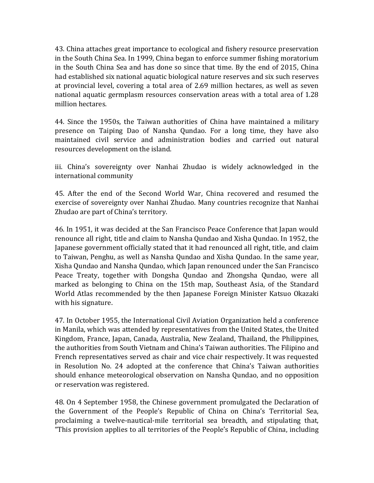43. China attaches great importance to ecological and fishery resource preservation in the South China Sea. In 1999, China began to enforce summer fishing moratorium in the South China Sea and has done so since that time. By the end of 2015, China had established six national aquatic biological nature reserves and six such reserves at provincial level, covering a total area of 2.69 million hectares, as well as seven national aquatic germplasm resources conservation areas with a total area of 1.28 million hectares.

44. Since the 1950s, the Taiwan authorities of China have maintained a military presence on Taiping Dao of Nansha Qundao. For a long time, they have also maintained civil service and administration bodies and carried out natural resources development on the island.

iii. China's sovereignty over Nanhai Zhudao is widely acknowledged in the international community

45. After the end of the Second World War, China recovered and resumed the exercise of sovereignty over Nanhai Zhudao. Many countries recognize that Nanhai Zhudao are part of China's territory.

46. In 1951, it was decided at the San Francisco Peace Conference that Japan would renounce all right, title and claim to Nansha Qundao and Xisha Qundao. In 1952, the Japanese government officially stated that it had renounced all right, title, and claim to Taiwan, Penghu, as well as Nansha Qundao and Xisha Qundao. In the same year, Xisha Qundao and Nansha Qundao, which Japan renounced under the San Francisco Peace Treaty, together with Dongsha Qundao and Zhongsha Qundao, were all marked as belonging to China on the 15th map, Southeast Asia, of the Standard World Atlas recommended by the then Japanese Foreign Minister Katsuo Okazaki with his signature.

47. In October 1955, the International Civil Aviation Organization held a conference in Manila, which was attended by representatives from the United States, the United Kingdom, France, Japan, Canada, Australia, New Zealand, Thailand, the Philippines, the authorities from South Vietnam and China's Taiwan authorities. The Filipino and French representatives served as chair and vice chair respectively. It was requested in Resolution No. 24 adopted at the conference that China's Taiwan authorities should enhance meteorological observation on Nansha Qundao, and no opposition or reservation was registered.

48. On 4 September 1958, the Chinese government promulgated the Declaration of the Government of the People's Republic of China on China's Territorial Sea, proclaiming a twelve-nautical-mile territorial sea breadth, and stipulating that, "This provision applies to all territories of the People's Republic of China, including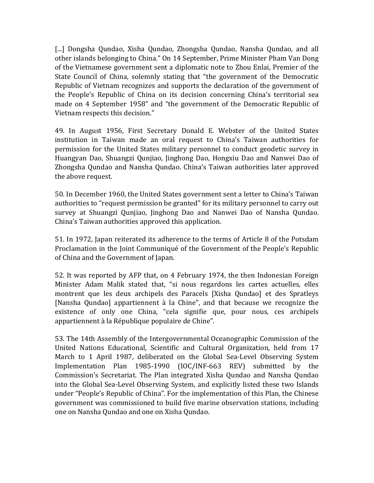[...] Dongsha Qundao, Xisha Qundao, Zhongsha Qundao, Nansha Qundao, and all other islands belonging to China." On 14 September, Prime Minister Pham Van Dong of the Vietnamese government sent a diplomatic note to Zhou Enlai, Premier of the State Council of China, solemnly stating that "the government of the Democratic Republic of Vietnam recognizes and supports the declaration of the government of the People's Republic of China on its decision concerning China's territorial sea made on 4 September 1958" and "the government of the Democratic Republic of Vietnam respects this decision."

49. In August 1956, First Secretary Donald E. Webster of the United States institution in Taiwan made an oral request to China's Taiwan authorities for permission for the United States military personnel to conduct geodetic survey in Huangyan Dao, Shuangzi Qunjiao, Jinghong Dao, Hongxiu Dao and Nanwei Dao of Zhongsha Qundao and Nansha Qundao. China's Taiwan authorities later approved the above request.

50. In December 1960, the United States government sent a letter to China's Taiwan authorities to "request permission be granted" for its military personnel to carry out survey at Shuangzi Qunjiao, Jinghong Dao and Nanwei Dao of Nansha Qundao. China's Taiwan authorities approved this application.

51. In 1972, Japan reiterated its adherence to the terms of Article 8 of the Potsdam Proclamation in the Joint Communiqué of the Government of the People's Republic of China and the Government of Japan.

52. It was reported by AFP that, on 4 February 1974, the then Indonesian Foreign Minister Adam Malik stated that, "si nous regardons les cartes actuelles, elles montrent que les deux archipels des Paracels [Xisha Qundao] et des Spratleys [Nansha Qundao] appartiennent à la Chine", and that because we recognize the existence of only one China, "cela signifie que, pour nous, ces archipels appartiennent à la République populaire de Chine".

53. The 14th Assembly of the Intergovernmental Oceanographic Commission of the United Nations Educational, Scientific and Cultural Organization, held from 17 March to 1 April 1987, deliberated on the Global Sea-Level Observing System Implementation Plan 1985-1990 (IOC/INF-663 REV) submitted by the Commission's Secretariat. The Plan integrated Xisha Qundao and Nansha Qundao into the Global Sea-Level Observing System, and explicitly listed these two Islands under "People's Republic of China". For the implementation of this Plan, the Chinese government was commissioned to build five marine observation stations, including one on Nansha Qundao and one on Xisha Qundao.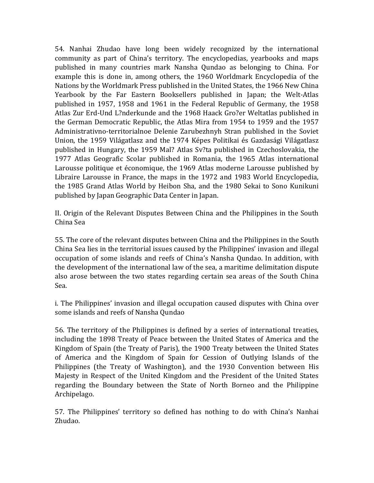54. Nanhai Zhudao have long been widely recognized by the international community as part of China's territory. The encyclopedias, yearbooks and maps published in many countries mark Nansha Oundao as belonging to China. For example this is done in, among others, the 1960 Worldmark Encyclopedia of the Nations by the Worldmark Press published in the United States, the 1966 New China Yearbook by the Far Eastern Booksellers published in Japan; the Welt-Atlas published in 1957, 1958 and 1961 in the Federal Republic of Germany, the 1958 Atlas Zur Erd-Und L?nderkunde and the 1968 Haack Gro?er Weltatlas published in the German Democratic Republic, the Atlas Mira from 1954 to 1959 and the 1957 Administrativno-territorialnoe Delenie Zarubezhnyh Stran published in the Soviet Union, the 1959 Világatlasz and the 1974 Képes Politikai és Gazdasági Világatlasz published in Hungary, the 1959 Mal? Atlas Sy?ta published in Czechoslovakia, the 1977 Atlas Geografic Scolar published in Romania, the 1965 Atlas international Larousse politique et économique, the 1969 Atlas moderne Larousse published by Libraire Larousse in France, the maps in the 1972 and 1983 World Encyclopedia, the 1985 Grand Atlas World by Heibon Sha, and the 1980 Sekai to Sono Kunikuni published by Japan Geographic Data Center in Japan.

II. Origin of the Relevant Disputes Between China and the Philippines in the South China Sea

55. The core of the relevant disputes between China and the Philippines in the South China Sea lies in the territorial issues caused by the Philippines' invasion and illegal occupation of some islands and reefs of China's Nansha Qundao. In addition, with the development of the international law of the sea, a maritime delimitation dispute also arose between the two states regarding certain sea areas of the South China Sea.

i. The Philippines' invasion and illegal occupation caused disputes with China over some islands and reefs of Nansha Oundao

56. The territory of the Philippines is defined by a series of international treaties, including the 1898 Treaty of Peace between the United States of America and the Kingdom of Spain (the Treaty of Paris), the 1900 Treaty between the United States of America and the Kingdom of Spain for Cession of Outlying Islands of the Philippines (the Treaty of Washington), and the 1930 Convention between His Majesty in Respect of the United Kingdom and the President of the United States regarding the Boundary between the State of North Borneo and the Philippine Archipelago.

57. The Philippines' territory so defined has nothing to do with China's Nanhai Zhudao.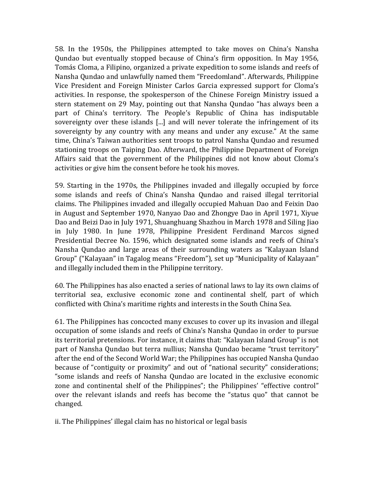58. In the 1950s, the Philippines attempted to take moves on China's Nansha Qundao but eventually stopped because of China's firm opposition. In May 1956, Tomás Cloma, a Filipino, organized a private expedition to some islands and reefs of Nansha Oundao and unlawfully named them "Freedomland". Afterwards, Philippine Vice President and Foreign Minister Carlos Garcia expressed support for Cloma's activities. In response, the spokesperson of the Chinese Foreign Ministry issued a stern statement on 29 May, pointing out that Nansha Qundao "has always been a part of China's territory. The People's Republic of China has indisputable sovereignty over these islands [...] and will never tolerate the infringement of its sovereignty by any country with any means and under any excuse." At the same time, China's Taiwan authorities sent troops to patrol Nansha Oundao and resumed stationing troops on Taiping Dao. Afterward, the Philippine Department of Foreign Affairs said that the government of the Philippines did not know about Cloma's activities or give him the consent before he took his moves.

59. Starting in the 1970s, the Philippines invaded and illegally occupied by force some islands and reefs of China's Nansha Qundao and raised illegal territorial claims. The Philippines invaded and illegally occupied Mahuan Dao and Feixin Dao in August and September 1970, Nanyao Dao and Zhongye Dao in April 1971, Xiyue Dao and Beizi Dao in July 1971, Shuanghuang Shazhou in March 1978 and Siling Jiao in July 1980. In June 1978, Philippine President Ferdinand Marcos signed Presidential Decree No. 1596, which designated some islands and reefs of China's Nansha Qundao and large areas of their surrounding waters as "Kalayaan Island Group" ("Kalayaan" in Tagalog means "Freedom"), set up "Municipality of Kalayaan" and illegally included them in the Philippine territory.

60. The Philippines has also enacted a series of national laws to lay its own claims of territorial sea, exclusive economic zone and continental shelf, part of which conflicted with China's maritime rights and interests in the South China Sea.

61. The Philippines has concocted many excuses to cover up its invasion and illegal occupation of some islands and reefs of China's Nansha Oundao in order to pursue its territorial pretensions. For instance, it claims that: "Kalayaan Island Group" is not part of Nansha Qundao but terra nullius; Nansha Qundao became "trust territory" after the end of the Second World War; the Philippines has occupied Nansha Qundao because of "contiguity or proximity" and out of "national security" considerations; "some islands and reefs of Nansha Oundao are located in the exclusive economic zone and continental shelf of the Philippines"; the Philippines' "effective control" over the relevant islands and reefs has become the "status quo" that cannot be changed.

ii. The Philippines' illegal claim has no historical or legal basis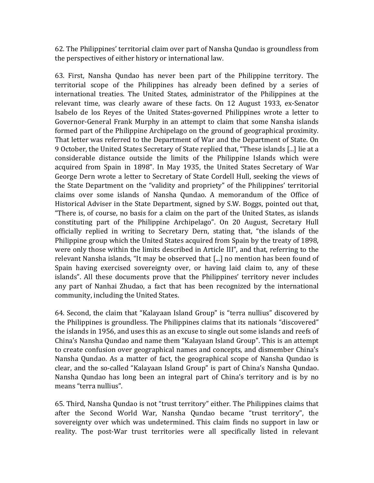62. The Philippines' territorial claim over part of Nansha Qundao is groundless from the perspectives of either history or international law.

63. First, Nansha Qundao has never been part of the Philippine territory. The territorial scope of the Philippines has already been defined by a series of international treaties. The United States, administrator of the Philippines at the relevant time, was clearly aware of these facts. On 12 August 1933, ex-Senator Isabelo de los Reyes of the United States-governed Philippines wrote a letter to Governor-General Frank Murphy in an attempt to claim that some Nansha islands formed part of the Philippine Archipelago on the ground of geographical proximity. That letter was referred to the Department of War and the Department of State. On 9 October, the United States Secretary of State replied that, "These islands [...] lie at a considerable distance outside the limits of the Philippine Islands which were acquired from Spain in 1898". In May 1935, the United States Secretary of War George Dern wrote a letter to Secretary of State Cordell Hull, seeking the views of the State Department on the "validity and propriety" of the Philippines' territorial claims over some islands of Nansha Qundao. A memorandum of the Office of Historical Adviser in the State Department, signed by S.W. Boggs, pointed out that, "There is, of course, no basis for a claim on the part of the United States, as islands constituting part of the Philippine Archipelago". On 20 August, Secretary Hull officially replied in writing to Secretary Dern, stating that, "the islands of the Philippine group which the United States acquired from Spain by the treaty of 1898, were only those within the limits described in Article III", and that, referring to the relevant Nansha islands, "It may be observed that [...] no mention has been found of Spain having exercised sovereignty over, or having laid claim to, any of these islands". All these documents prove that the Philippines' territory never includes any part of Nanhai Zhudao, a fact that has been recognized by the international community, including the United States.

64. Second, the claim that "Kalayaan Island Group" is "terra nullius" discovered by the Philippines is groundless. The Philippines claims that its nationals "discovered" the islands in 1956, and uses this as an excuse to single out some islands and reefs of China's Nansha Qundao and name them "Kalayaan Island Group". This is an attempt to create confusion over geographical names and concepts, and dismember China's Nansha Oundao. As a matter of fact, the geographical scope of Nansha Qundao is clear, and the so-called "Kalayaan Island Group" is part of China's Nansha Qundao. Nansha Qundao has long been an integral part of China's territory and is by no means "terra nullius".

65. Third, Nansha Qundao is not "trust territory" either. The Philippines claims that after the Second World War, Nansha Oundao became "trust territory", the sovereignty over which was undetermined. This claim finds no support in law or reality. The post-War trust territories were all specifically listed in relevant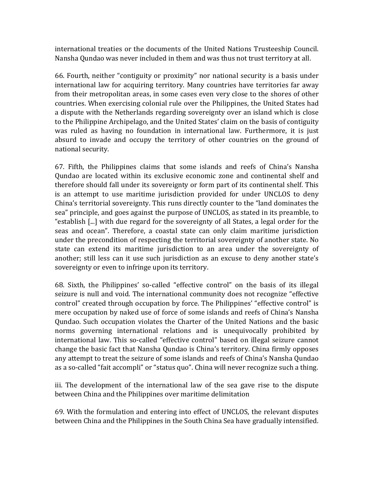international treaties or the documents of the United Nations Trusteeship Council. Nansha Qundao was never included in them and was thus not trust territory at all.

66. Fourth, neither "contiguity or proximity" nor national security is a basis under international law for acquiring territory. Many countries have territories far away from their metropolitan areas, in some cases even very close to the shores of other countries. When exercising colonial rule over the Philippines, the United States had a dispute with the Netherlands regarding sovereignty over an island which is close to the Philippine Archipelago, and the United States' claim on the basis of contiguity was ruled as having no foundation in international law. Furthermore, it is just absurd to invade and occupy the territory of other countries on the ground of national security.

67. Fifth, the Philippines claims that some islands and reefs of China's Nansha Qundao are located within its exclusive economic zone and continental shelf and therefore should fall under its sovereignty or form part of its continental shelf. This is an attempt to use maritime jurisdiction provided for under UNCLOS to deny China's territorial sovereignty. This runs directly counter to the "land dominates the sea" principle, and goes against the purpose of UNCLOS, as stated in its preamble, to "establish [...] with due regard for the sovereignty of all States, a legal order for the seas and ocean". Therefore, a coastal state can only claim maritime jurisdiction under the precondition of respecting the territorial sovereignty of another state. No state can extend its maritime jurisdiction to an area under the sovereignty of another; still less can it use such jurisdiction as an excuse to deny another state's sovereignty or even to infringe upon its territory.

68. Sixth, the Philippines' so-called "effective control" on the basis of its illegal seizure is null and void. The international community does not recognize "effective control" created through occupation by force. The Philippines' "effective control" is mere occupation by naked use of force of some islands and reefs of China's Nansha Qundao. Such occupation violates the Charter of the United Nations and the basic norms governing international relations and is unequivocally prohibited by international law. This so-called "effective control" based on illegal seizure cannot change the basic fact that Nansha Oundao is China's territory. China firmly opposes any attempt to treat the seizure of some islands and reefs of China's Nansha Oundao as a so-called "fait accompli" or "status quo". China will never recognize such a thing.

iii. The development of the international law of the sea gave rise to the dispute between China and the Philippines over maritime delimitation

69. With the formulation and entering into effect of UNCLOS, the relevant disputes between China and the Philippines in the South China Sea have gradually intensified.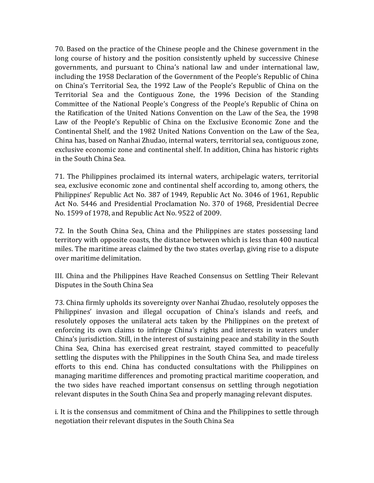70. Based on the practice of the Chinese people and the Chinese government in the long course of history and the position consistently upheld by successive Chinese governments, and pursuant to China's national law and under international law, including the 1958 Declaration of the Government of the People's Republic of China on China's Territorial Sea, the 1992 Law of the People's Republic of China on the Territorial Sea and the Contiguous Zone, the 1996 Decision of the Standing Committee of the National People's Congress of the People's Republic of China on the Ratification of the United Nations Convention on the Law of the Sea, the 1998 Law of the People's Republic of China on the Exclusive Economic Zone and the Continental Shelf, and the 1982 United Nations Convention on the Law of the Sea, China has, based on Nanhai Zhudao, internal waters, territorial sea, contiguous zone, exclusive economic zone and continental shelf. In addition, China has historic rights in the South China Sea.

71. The Philippines proclaimed its internal waters, archipelagic waters, territorial sea, exclusive economic zone and continental shelf according to, among others, the Philippines' Republic Act No. 387 of 1949, Republic Act No. 3046 of 1961, Republic Act No. 5446 and Presidential Proclamation No. 370 of 1968, Presidential Decree No. 1599 of 1978, and Republic Act No. 9522 of 2009.

72. In the South China Sea, China and the Philippines are states possessing land territory with opposite coasts, the distance between which is less than 400 nautical miles. The maritime areas claimed by the two states overlap, giving rise to a dispute over maritime delimitation.

III. China and the Philippines Have Reached Consensus on Settling Their Relevant Disputes in the South China Sea

73. China firmly upholds its sovereignty over Nanhai Zhudao, resolutely opposes the Philippines' invasion and illegal occupation of China's islands and reefs, and resolutely opposes the unilateral acts taken by the Philippines on the pretext of enforcing its own claims to infringe China's rights and interests in waters under China's jurisdiction. Still, in the interest of sustaining peace and stability in the South China Sea, China has exercised great restraint, stayed committed to peacefully settling the disputes with the Philippines in the South China Sea, and made tireless efforts to this end. China has conducted consultations with the Philippines on managing maritime differences and promoting practical maritime cooperation, and the two sides have reached important consensus on settling through negotiation relevant disputes in the South China Sea and properly managing relevant disputes.

i. It is the consensus and commitment of China and the Philippines to settle through negotiation their relevant disputes in the South China Sea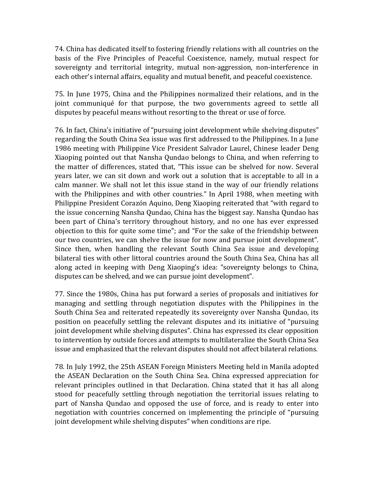74. China has dedicated itself to fostering friendly relations with all countries on the basis of the Five Principles of Peaceful Coexistence, namely, mutual respect for sovereignty and territorial integrity, mutual non-aggression, non-interference in each other's internal affairs, equality and mutual benefit, and peaceful coexistence.

75. In June 1975, China and the Philippines normalized their relations, and in the joint communiqué for that purpose, the two governments agreed to settle all disputes by peaceful means without resorting to the threat or use of force.

76. In fact, China's initiative of "pursuing joint development while shelving disputes" regarding the South China Sea issue was first addressed to the Philippines. In a June 1986 meeting with Philippine Vice President Salvador Laurel, Chinese leader Deng Xiaoping pointed out that Nansha Qundao belongs to China, and when referring to the matter of differences, stated that, "This issue can be shelved for now. Several years later, we can sit down and work out a solution that is acceptable to all in a calm manner. We shall not let this issue stand in the way of our friendly relations with the Philippines and with other countries." In April 1988, when meeting with Philippine President Corazón Aquino, Deng Xiaoping reiterated that "with regard to the issue concerning Nansha Qundao, China has the biggest say. Nansha Qundao has been part of China's territory throughout history, and no one has ever expressed objection to this for quite some time"; and "For the sake of the friendship between our two countries, we can shelve the issue for now and pursue joint development". Since then, when handling the relevant South China Sea issue and developing bilateral ties with other littoral countries around the South China Sea, China has all along acted in keeping with Deng Xiaoping's idea: "sovereignty belongs to China, disputes can be shelved, and we can pursue joint development".

77. Since the 1980s, China has put forward a series of proposals and initiatives for managing and settling through negotiation disputes with the Philippines in the South China Sea and reiterated repeatedly its sovereignty over Nansha Oundao, its position on peacefully settling the relevant disputes and its initiative of "pursuing" joint development while shelving disputes". China has expressed its clear opposition to intervention by outside forces and attempts to multilateralize the South China Sea issue and emphasized that the relevant disputes should not affect bilateral relations.

78. In July 1992, the 25th ASEAN Foreign Ministers Meeting held in Manila adopted the ASEAN Declaration on the South China Sea. China expressed appreciation for relevant principles outlined in that Declaration. China stated that it has all along stood for peacefully settling through negotiation the territorial issues relating to part of Nansha Qundao and opposed the use of force, and is ready to enter into negotiation with countries concerned on implementing the principle of "pursuing joint development while shelving disputes" when conditions are ripe.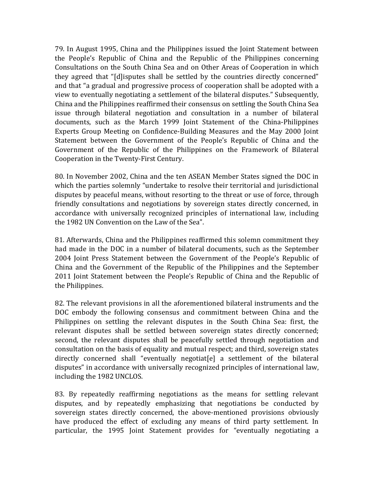79. In August 1995, China and the Philippines issued the Joint Statement between the People's Republic of China and the Republic of the Philippines concerning Consultations on the South China Sea and on Other Areas of Cooperation in which they agreed that "[d]isputes shall be settled by the countries directly concerned" and that "a gradual and progressive process of cooperation shall be adopted with a view to eventually negotiating a settlement of the bilateral disputes." Subsequently, China and the Philippines reaffirmed their consensus on settling the South China Sea issue through bilateral negotiation and consultation in a number of bilateral documents, such as the March 1999 Joint Statement of the China-Philippines Experts Group Meeting on Confidence-Building Measures and the May 2000 Joint Statement between the Government of the People's Republic of China and the Government of the Republic of the Philippines on the Framework of Bilateral Cooperation in the Twenty-First Century.

80. In November 2002, China and the ten ASEAN Member States signed the DOC in which the parties solemnly "undertake to resolve their territorial and jurisdictional disputes by peaceful means, without resorting to the threat or use of force, through friendly consultations and negotiations by sovereign states directly concerned, in accordance with universally recognized principles of international law, including the 1982 UN Convention on the Law of the Sea".

81. Afterwards, China and the Philippines reaffirmed this solemn commitment they had made in the DOC in a number of bilateral documents, such as the September 2004 Joint Press Statement between the Government of the People's Republic of China and the Government of the Republic of the Philippines and the September 2011 Joint Statement between the People's Republic of China and the Republic of the Philippines.

82. The relevant provisions in all the aforementioned bilateral instruments and the DOC embody the following consensus and commitment between China and the Philippines on settling the relevant disputes in the South China Sea: first, the relevant disputes shall be settled between sovereign states directly concerned; second, the relevant disputes shall be peacefully settled through negotiation and consultation on the basis of equality and mutual respect; and third, sovereign states directly concerned shall "eventually negotiat<sup>[e]</sup> a settlement of the bilateral disputes" in accordance with universally recognized principles of international law, including the 1982 UNCLOS.

83. By repeatedly reaffirming negotiations as the means for settling relevant disputes, and by repeatedly emphasizing that negotiations be conducted by sovereign states directly concerned, the above-mentioned provisions obviously have produced the effect of excluding any means of third party settlement. In particular, the 1995 Joint Statement provides for "eventually negotiating a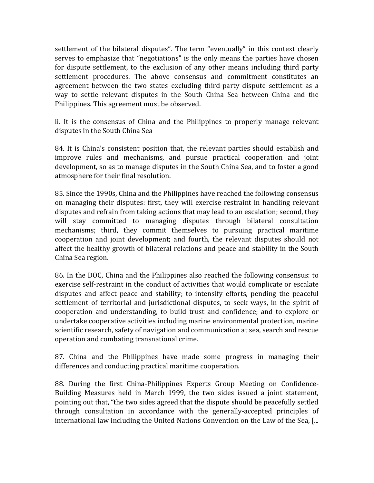settlement of the bilateral disputes". The term "eventually" in this context clearly serves to emphasize that "negotiations" is the only means the parties have chosen for dispute settlement, to the exclusion of any other means including third party settlement procedures. The above consensus and commitment constitutes an agreement between the two states excluding third-party dispute settlement as a way to settle relevant disputes in the South China Sea between China and the Philippines. This agreement must be observed.

ii. It is the consensus of China and the Philippines to properly manage relevant disputes in the South China Sea

84. It is China's consistent position that, the relevant parties should establish and improve rules and mechanisms, and pursue practical cooperation and joint development, so as to manage disputes in the South China Sea, and to foster a good atmosphere for their final resolution.

85. Since the 1990s, China and the Philippines have reached the following consensus on managing their disputes: first, they will exercise restraint in handling relevant disputes and refrain from taking actions that may lead to an escalation; second, they will stay committed to managing disputes through bilateral consultation mechanisms; third, they commit themselves to pursuing practical maritime cooperation and joint development; and fourth, the relevant disputes should not affect the healthy growth of bilateral relations and peace and stability in the South China Sea region.

86. In the DOC, China and the Philippines also reached the following consensus: to exercise self-restraint in the conduct of activities that would complicate or escalate disputes and affect peace and stability; to intensify efforts, pending the peaceful settlement of territorial and jurisdictional disputes, to seek ways, in the spirit of cooperation and understanding, to build trust and confidence; and to explore or undertake cooperative activities including marine environmental protection, marine scientific research, safety of navigation and communication at sea, search and rescue operation and combating transnational crime.

87. China and the Philippines have made some progress in managing their differences and conducting practical maritime cooperation.

88. During the first China-Philippines Experts Group Meeting on Confidence-Building Measures held in March 1999, the two sides issued a joint statement, pointing out that, "the two sides agreed that the dispute should be peacefully settled through consultation in accordance with the generally-accepted principles of international law including the United Nations Convention on the Law of the Sea, [...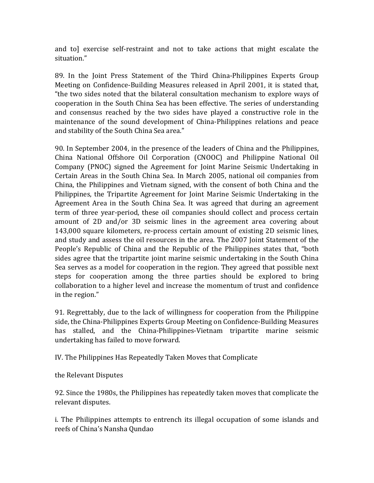and to] exercise self-restraint and not to take actions that might escalate the situation."

89. In the Joint Press Statement of the Third China-Philippines Experts Group Meeting on Confidence-Building Measures released in April 2001, it is stated that, "the two sides noted that the bilateral consultation mechanism to explore ways of cooperation in the South China Sea has been effective. The series of understanding and consensus reached by the two sides have played a constructive role in the maintenance of the sound development of China-Philippines relations and peace and stability of the South China Sea area."

90. In September 2004, in the presence of the leaders of China and the Philippines, China National Offshore Oil Corporation (CNOOC) and Philippine National Oil Company (PNOC) signed the Agreement for Joint Marine Seismic Undertaking in Certain Areas in the South China Sea. In March 2005, national oil companies from China, the Philippines and Vietnam signed, with the consent of both China and the Philippines, the Tripartite Agreement for Joint Marine Seismic Undertaking in the Agreement Area in the South China Sea. It was agreed that during an agreement term of three year-period, these oil companies should collect and process certain amount of 2D and/or 3D seismic lines in the agreement area covering about 143,000 square kilometers, re-process certain amount of existing 2D seismic lines, and study and assess the oil resources in the area. The 2007 Joint Statement of the People's Republic of China and the Republic of the Philippines states that, "both sides agree that the tripartite joint marine seismic undertaking in the South China Sea serves as a model for cooperation in the region. They agreed that possible next steps for cooperation among the three parties should be explored to bring collaboration to a higher level and increase the momentum of trust and confidence in the region."

91. Regrettably, due to the lack of willingness for cooperation from the Philippine side, the China-Philippines Experts Group Meeting on Confidence-Building Measures has stalled, and the China-Philippines-Vietnam tripartite marine seismic undertaking has failed to move forward.

IV. The Philippines Has Repeatedly Taken Moves that Complicate

the Relevant Disputes

92. Since the 1980s, the Philippines has repeatedly taken moves that complicate the relevant disputes.

i. The Philippines attempts to entrench its illegal occupation of some islands and reefs of China's Nansha Qundao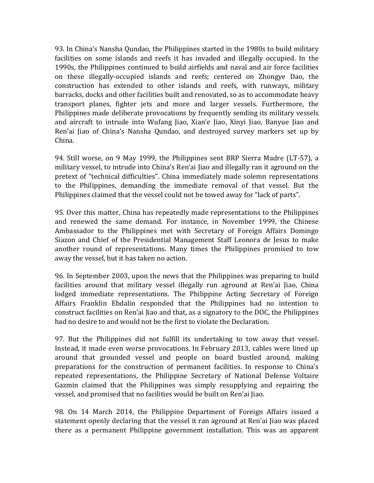93. In China's Nansha Qundao, the Philippines started in the 1980s to build military facilities on some islands and reefs it has invaded and illegally occupied. In the 1990s, the Philippines continued to build airfields and naval and air force facilities on these illegally-occupied islands and reefs; centered on Zhongye Dao, the construction has extended to other islands and reefs, with runways, military barracks, docks and other facilities built and renovated, so as to accommodate heavy transport planes, fighter jets and more and larger vessels. Furthermore, the Philippines made deliberate provocations by frequently sending its military vessels and aircraft to intrude into Wufang Jiao, Xian'e Jiao, Xinyi Jiao, Banyue Jiao and Ren'ai Jiao of China's Nansha Oundao, and destroyed survey markers set up by China.

94. Still worse, on 9 May 1999, the Philippines sent BRP Sierra Madre (LT-57), a military vessel, to intrude into China's Ren'ai Jiao and illegally ran it aground on the pretext of "technical difficulties". China immediately made solemn representations to the Philippines, demanding the immediate removal of that vessel. But the Philippines claimed that the vessel could not be towed away for "lack of parts".

95. Over this matter, China has repeatedly made representations to the Philippines and renewed the same demand. For instance, in November 1999, the Chinese Ambassador to the Philippines met with Secretary of Foreign Affairs Domingo Siazon and Chief of the Presidential Management Staff Leonora de Jesus to make another round of representations. Many times the Philippines promised to tow away the vessel, but it has taken no action.

96. In September 2003, upon the news that the Philippines was preparing to build facilities around that military vessel illegally run aground at Ren'ai Jiao, China lodged immediate representations. The Philippine Acting Secretary of Foreign Affairs Franklin Ebdalin responded that the Philippines had no intention to construct facilities on Ren'ai Jiao and that, as a signatory to the DOC, the Philippines had no desire to and would not be the first to violate the Declaration.

97. But the Philippines did not fulfill its undertaking to tow away that vessel. Instead, it made even worse provocations. In February 2013, cables were lined up around that grounded vessel and people on board bustled around, making preparations for the construction of permanent facilities. In response to China's repeated representations, the Philippine Secretary of National Defense Voltaire Gazmin claimed that the Philippines was simply resupplying and repairing the vessel, and promised that no facilities would be built on Ren'ai Jiao.

98. On 14 March 2014, the Philippine Department of Foreign Affairs issued a statement openly declaring that the vessel it ran aground at Ren'ai Jiao was placed there as a permanent Philippine government installation. This was an apparent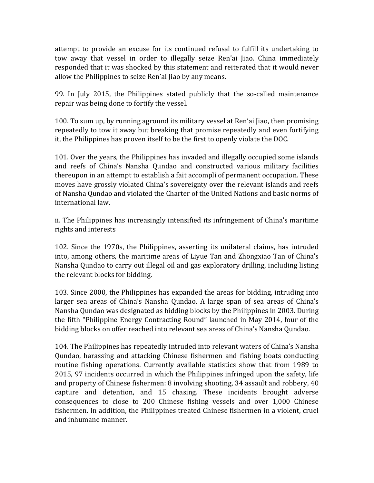attempt to provide an excuse for its continued refusal to fulfill its undertaking to tow away that vessel in order to illegally seize Ren'ai Jiao. China immediately responded that it was shocked by this statement and reiterated that it would never allow the Philippines to seize Ren'ai Jiao by any means.

99. In July 2015, the Philippines stated publicly that the so-called maintenance repair was being done to fortify the vessel.

100. To sum up, by running aground its military vessel at Ren'ai Jiao, then promising repeatedly to tow it away but breaking that promise repeatedly and even fortifying it, the Philippines has proven itself to be the first to openly violate the DOC.

101. Over the years, the Philippines has invaded and illegally occupied some islands and reefs of China's Nansha Oundao and constructed various military facilities thereupon in an attempt to establish a fait accompli of permanent occupation. These moves have grossly violated China's sovereignty over the relevant islands and reefs of Nansha Qundao and violated the Charter of the United Nations and basic norms of international law.

ii. The Philippines has increasingly intensified its infringement of China's maritime rights and interests

102. Since the 1970s, the Philippines, asserting its unilateral claims, has intruded into, among others, the maritime areas of Liyue Tan and Zhongxiao Tan of China's Nansha Qundao to carry out illegal oil and gas exploratory drilling, including listing the relevant blocks for bidding.

103. Since 2000, the Philippines has expanded the areas for bidding, intruding into larger sea areas of China's Nansha Qundao. A large span of sea areas of China's Nansha Qundao was designated as bidding blocks by the Philippines in 2003. During the fifth "Philippine Energy Contracting Round" launched in May 2014, four of the bidding blocks on offer reached into relevant sea areas of China's Nansha Qundao.

104. The Philippines has repeatedly intruded into relevant waters of China's Nansha Qundao, harassing and attacking Chinese fishermen and fishing boats conducting routine fishing operations. Currently available statistics show that from 1989 to 2015, 97 incidents occurred in which the Philippines infringed upon the safety, life and property of Chinese fishermen: 8 involving shooting, 34 assault and robbery, 40 capture and detention, and 15 chasing. These incidents brought adverse consequences to close to 200 Chinese fishing vessels and over 1,000 Chinese fishermen. In addition, the Philippines treated Chinese fishermen in a violent, cruel and inhumane manner.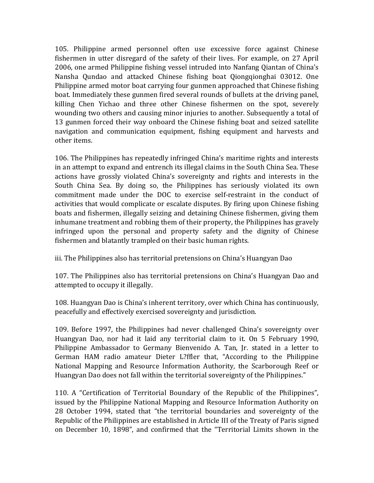105. Philippine armed personnel often use excessive force against Chinese fishermen in utter disregard of the safety of their lives. For example, on 27 April 2006, one armed Philippine fishing vessel intruded into Nanfang Oiantan of China's Nansha Oundao and attacked Chinese fishing boat Oiongqionghai 03012. One Philippine armed motor boat carrying four gunmen approached that Chinese fishing boat. Immediately these gunmen fired several rounds of bullets at the driving panel. killing Chen Yichao and three other Chinese fishermen on the spot, severely wounding two others and causing minor injuries to another. Subsequently a total of 13 gunmen forced their way onboard the Chinese fishing boat and seized satellite navigation and communication equipment, fishing equipment and harvests and other items.

106. The Philippines has repeatedly infringed China's maritime rights and interests in an attempt to expand and entrench its illegal claims in the South China Sea. These actions have grossly violated China's sovereignty and rights and interests in the South China Sea. By doing so, the Philippines has seriously violated its own commitment made under the DOC to exercise self-restraint in the conduct of activities that would complicate or escalate disputes. By firing upon Chinese fishing boats and fishermen, illegally seizing and detaining Chinese fishermen, giving them inhumane treatment and robbing them of their property, the Philippines has gravely infringed upon the personal and property safety and the dignity of Chinese fishermen and blatantly trampled on their basic human rights.

iii. The Philippines also has territorial pretensions on China's Huangyan Dao

107. The Philippines also has territorial pretensions on China's Huangyan Dao and attempted to occupy it illegally.

108. Huangyan Dao is China's inherent territory, over which China has continuously, peacefully and effectively exercised sovereignty and jurisdiction.

109. Before 1997, the Philippines had never challenged China's sovereignty over Huangyan Dao, nor had it laid any territorial claim to it. On 5 February 1990, Philippine Ambassador to Germany Bienvenido A. Tan, Jr. stated in a letter to German HAM radio amateur Dieter L?ffler that, "According to the Philippine National Mapping and Resource Information Authority, the Scarborough Reef or Huangyan Dao does not fall within the territorial sovereignty of the Philippines."

110. A "Certification of Territorial Boundary of the Republic of the Philippines", issued by the Philippine National Mapping and Resource Information Authority on 28 October 1994, stated that "the territorial boundaries and sovereignty of the Republic of the Philippines are established in Article III of the Treaty of Paris signed on December 10, 1898", and confirmed that the "Territorial Limits shown in the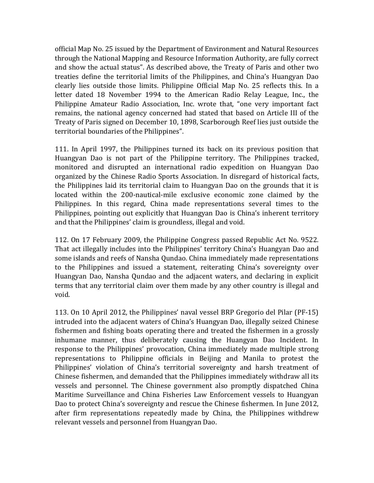official Map No. 25 issued by the Department of Environment and Natural Resources through the National Mapping and Resource Information Authority, are fully correct and show the actual status". As described above, the Treaty of Paris and other two treaties define the territorial limits of the Philippines, and China's Huangyan Dao clearly lies outside those limits. Philippine Official Map No. 25 reflects this. In a letter dated 18 November 1994 to the American Radio Relay League, Inc., the Philippine Amateur Radio Association, Inc. wrote that, "one very important fact remains, the national agency concerned had stated that based on Article III of the Treaty of Paris signed on December 10, 1898, Scarborough Reef lies just outside the territorial boundaries of the Philippines".

111. In April 1997, the Philippines turned its back on its previous position that Huangyan Dao is not part of the Philippine territory. The Philippines tracked, monitored and disrupted an international radio expedition on Huangyan Dao organized by the Chinese Radio Sports Association. In disregard of historical facts, the Philippines laid its territorial claim to Huangyan Dao on the grounds that it is located within the 200-nautical-mile exclusive economic zone claimed by the Philippines. In this regard, China made representations several times to the Philippines, pointing out explicitly that Huangyan Dao is China's inherent territory and that the Philippines' claim is groundless, illegal and void.

112. On 17 February 2009, the Philippine Congress passed Republic Act No. 9522. That act illegally includes into the Philippines' territory China's Huangyan Dao and some islands and reefs of Nansha Qundao. China immediately made representations to the Philippines and issued a statement, reiterating China's sovereignty over Huangyan Dao, Nansha Qundao and the adjacent waters, and declaring in explicit terms that any territorial claim over them made by any other country is illegal and void.

113. On 10 April 2012, the Philippines' naval vessel BRP Gregorio del Pilar (PF-15) intruded into the adjacent waters of China's Huangyan Dao, illegally seized Chinese fishermen and fishing boats operating there and treated the fishermen in a grossly inhumane manner, thus deliberately causing the Huangyan Dao Incident. In response to the Philippines' provocation, China immediately made multiple strong representations to Philippine officials in Beijing and Manila to protest the Philippines' violation of China's territorial sovereignty and harsh treatment of Chinese fishermen, and demanded that the Philippines immediately withdraw all its vessels and personnel. The Chinese government also promptly dispatched China Maritime Surveillance and China Fisheries Law Enforcement vessels to Huangyan Dao to protect China's sovereignty and rescue the Chinese fishermen. In June 2012, after firm representations repeatedly made by China, the Philippines withdrew relevant vessels and personnel from Huangyan Dao.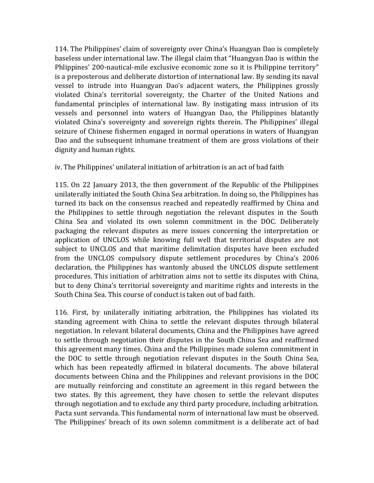114. The Philippines' claim of sovereignty over China's Huangyan Dao is completely baseless under international law. The illegal claim that "Huangyan Dao is within the Phlippines' 200-nautical-mile exclusive economic zone so it is Philippine territory" is a preposterous and deliberate distortion of international law. By sending its naval vessel to intrude into Huangyan Dao's adjacent waters, the Philippines grossly violated China's territorial sovereignty, the Charter of the United Nations and fundamental principles of international law. By instigating mass intrusion of its vessels and personnel into waters of Huangyan Dao, the Philippines blatantly violated China's sovereignty and sovereign rights therein. The Philippines' illegal seizure of Chinese fishermen engaged in normal operations in waters of Huangyan Dao and the subsequent inhumane treatment of them are gross violations of their dignity and human rights.

## iv. The Philippines' unilateral initiation of arbitration is an act of bad faith

115. On 22 January 2013, the then government of the Republic of the Philippines unilaterally initiated the South China Sea arbitration. In doing so, the Philippines has turned its back on the consensus reached and repeatedly reaffirmed by China and the Philippines to settle through negotiation the relevant disputes in the South China Sea and violated its own solemn commitment in the DOC. Deliberately packaging the relevant disputes as mere issues concerning the interpretation or application of UNCLOS while knowing full well that territorial disputes are not subject to UNCLOS and that maritime delimitation disputes have been excluded from the UNCLOS compulsory dispute settlement procedures by China's 2006 declaration, the Philippines has wantonly abused the UNCLOS dispute settlement procedures. This initiation of arbitration aims not to settle its disputes with China, but to deny China's territorial sovereignty and maritime rights and interests in the South China Sea. This course of conduct is taken out of bad faith.

116. First, by unilaterally initiating arbitration, the Philippines has violated its standing agreement with China to settle the relevant disputes through bilateral negotiation. In relevant bilateral documents, China and the Philippines have agreed to settle through negotiation their disputes in the South China Sea and reaffirmed this agreement many times. China and the Philippines made solemn commitment in the DOC to settle through negotiation relevant disputes in the South China Sea, which has been repeatedly affirmed in bilateral documents. The above bilateral documents between China and the Philippines and relevant provisions in the DOC are mutually reinforcing and constitute an agreement in this regard between the two states. By this agreement, they have chosen to settle the relevant disputes through negotiation and to exclude any third party procedure, including arbitration. Pacta sunt servanda. This fundamental norm of international law must be observed. The Philippines' breach of its own solemn commitment is a deliberate act of bad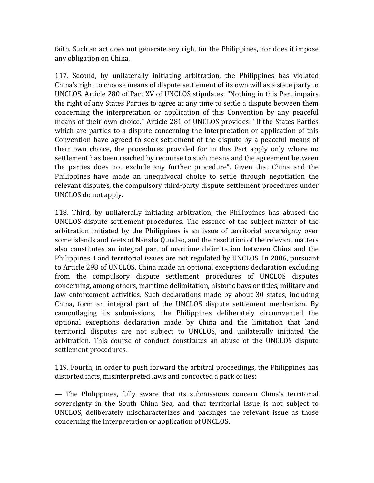faith. Such an act does not generate any right for the Philippines, nor does it impose any obligation on China.

117. Second, by unilaterally initiating arbitration, the Philippines has violated China's right to choose means of dispute settlement of its own will as a state party to UNCLOS. Article 280 of Part XV of UNCLOS stipulates: "Nothing in this Part impairs the right of any States Parties to agree at any time to settle a dispute between them concerning the interpretation or application of this Convention by any peaceful means of their own choice." Article 281 of UNCLOS provides: "If the States Parties which are parties to a dispute concerning the interpretation or application of this Convention have agreed to seek settlement of the dispute by a peaceful means of their own choice, the procedures provided for in this Part apply only where no settlement has been reached by recourse to such means and the agreement between the parties does not exclude any further procedure". Given that China and the Philippines have made an unequivocal choice to settle through negotiation the relevant disputes, the compulsory third-party dispute settlement procedures under UNCLOS do not apply.

118. Third, by unilaterally initiating arbitration, the Philippines has abused the UNCLOS dispute settlement procedures. The essence of the subject-matter of the arbitration initiated by the Philippines is an issue of territorial sovereignty over some islands and reefs of Nansha Qundao, and the resolution of the relevant matters also constitutes an integral part of maritime delimitation between China and the Philippines. Land territorial issues are not regulated by UNCLOS. In 2006, pursuant to Article 298 of UNCLOS, China made an optional exceptions declaration excluding from the compulsory dispute settlement procedures of UNCLOS disputes concerning, among others, maritime delimitation, historic bays or titles, military and law enforcement activities. Such declarations made by about 30 states, including China, form an integral part of the UNCLOS dispute settlement mechanism. By camouflaging its submissions, the Philippines deliberately circumvented the optional exceptions declaration made by China and the limitation that land territorial disputes are not subject to UNCLOS, and unilaterally initiated the arbitration. This course of conduct constitutes an abuse of the UNCLOS dispute settlement procedures.

119. Fourth, in order to push forward the arbitral proceedings, the Philippines has distorted facts, misinterpreted laws and concocted a pack of lies:

— The Philippines, fully aware that its submissions concern China's territorial sovereignty in the South China Sea, and that territorial issue is not subject to UNCLOS, deliberately mischaracterizes and packages the relevant issue as those concerning the interpretation or application of UNCLOS;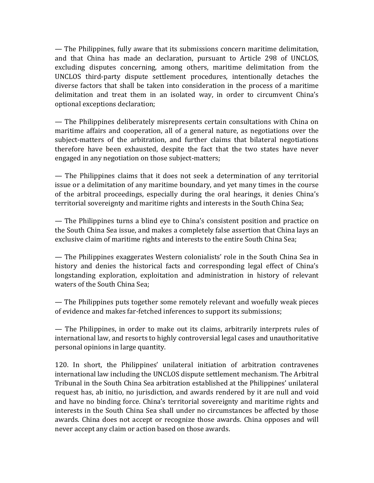— The Philippines, fully aware that its submissions concern maritime delimitation, and that China has made an declaration, pursuant to Article 298 of UNCLOS, excluding disputes concerning, among others, maritime delimitation from the UNCLOS third-party dispute settlement procedures, intentionally detaches the diverse factors that shall be taken into consideration in the process of a maritime delimitation and treat them in an isolated way, in order to circumvent China's optional exceptions declaration;

— The Philippines deliberately misrepresents certain consultations with China on maritime affairs and cooperation, all of a general nature, as negotiations over the subject-matters of the arbitration, and further claims that bilateral negotiations therefore have been exhausted, despite the fact that the two states have never engaged in any negotiation on those subject-matters;

— The Philippines claims that it does not seek a determination of any territorial issue or a delimitation of any maritime boundary, and yet many times in the course of the arbitral proceedings, especially during the oral hearings, it denies China's territorial sovereignty and maritime rights and interests in the South China Sea;

— The Philippines turns a blind eye to China's consistent position and practice on the South China Sea issue, and makes a completely false assertion that China lays an exclusive claim of maritime rights and interests to the entire South China Sea;

— The Philippines exaggerates Western colonialists' role in the South China Sea in history and denies the historical facts and corresponding legal effect of China's longstanding exploration, exploitation and administration in history of relevant waters of the South China Sea;

— The Philippines puts together some remotely relevant and woefully weak pieces of evidence and makes far-fetched inferences to support its submissions;

— The Philippines, in order to make out its claims, arbitrarily interprets rules of international law, and resorts to highly controversial legal cases and unauthoritative personal opinions in large quantity.

120. In short, the Philippines' unilateral initiation of arbitration contravenes international law including the UNCLOS dispute settlement mechanism. The Arbitral Tribunal in the South China Sea arbitration established at the Philippines' unilateral request has, ab initio, no jurisdiction, and awards rendered by it are null and void and have no binding force. China's territorial sovereignty and maritime rights and interests in the South China Sea shall under no circumstances be affected by those awards. China does not accept or recognize those awards. China opposes and will never accept any claim or action based on those awards.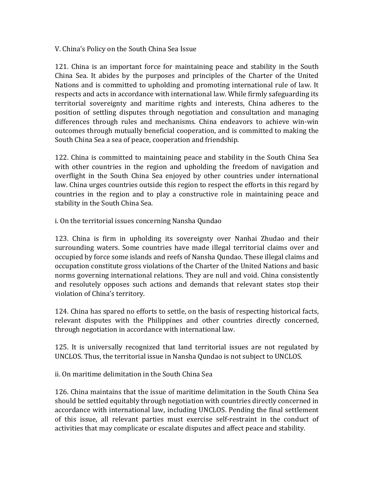V. China's Policy on the South China Sea Issue

121. China is an important force for maintaining peace and stability in the South China Sea. It abides by the purposes and principles of the Charter of the United Nations and is committed to upholding and promoting international rule of law. It respects and acts in accordance with international law. While firmly safeguarding its territorial sovereignty and maritime rights and interests, China adheres to the position of settling disputes through negotiation and consultation and managing differences through rules and mechanisms. China endeavors to achieve win-win outcomes through mutually beneficial cooperation, and is committed to making the South China Sea a sea of peace, cooperation and friendship.

122. China is committed to maintaining peace and stability in the South China Sea with other countries in the region and upholding the freedom of navigation and overflight in the South China Sea enjoyed by other countries under international law. China urges countries outside this region to respect the efforts in this regard by countries in the region and to play a constructive role in maintaining peace and stability in the South China Sea.

i. On the territorial issues concerning Nansha Qundao

123. China is firm in upholding its sovereignty over Nanhai Zhudao and their surrounding waters. Some countries have made illegal territorial claims over and occupied by force some islands and reefs of Nansha Qundao. These illegal claims and occupation constitute gross violations of the Charter of the United Nations and basic norms governing international relations. They are null and void. China consistently and resolutely opposes such actions and demands that relevant states stop their violation of China's territory.

124. China has spared no efforts to settle, on the basis of respecting historical facts, relevant disputes with the Philippines and other countries directly concerned, through negotiation in accordance with international law.

125. It is universally recognized that land territorial issues are not regulated by UNCLOS. Thus, the territorial issue in Nansha Oundao is not subject to UNCLOS.

ii. On maritime delimitation in the South China Sea

126. China maintains that the issue of maritime delimitation in the South China Sea should be settled equitably through negotiation with countries directly concerned in accordance with international law, including UNCLOS. Pending the final settlement of this issue, all relevant parties must exercise self-restraint in the conduct of activities that may complicate or escalate disputes and affect peace and stability.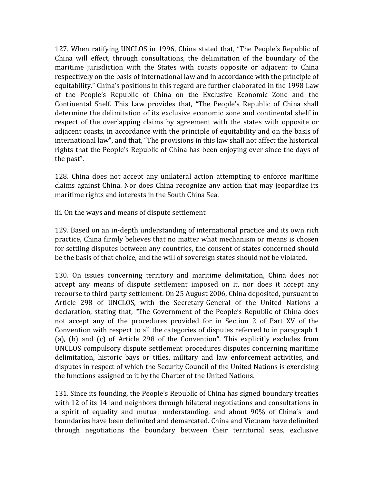127. When ratifying UNCLOS in 1996, China stated that, "The People's Republic of China will effect, through consultations, the delimitation of the boundary of the maritime jurisdiction with the States with coasts opposite or adjacent to China respectively on the basis of international law and in accordance with the principle of equitability." China's positions in this regard are further elaborated in the 1998 Law of the People's Republic of China on the Exclusive Economic Zone and the Continental Shelf. This Law provides that, "The People's Republic of China shall determine the delimitation of its exclusive economic zone and continental shelf in respect of the overlapping claims by agreement with the states with opposite or adjacent coasts, in accordance with the principle of equitability and on the basis of international law", and that, "The provisions in this law shall not affect the historical rights that the People's Republic of China has been enjoying ever since the days of the past".

128. China does not accept any unilateral action attempting to enforce maritime claims against China. Nor does China recognize any action that may jeopardize its maritime rights and interests in the South China Sea.

iii. On the ways and means of dispute settlement

129. Based on an in-depth understanding of international practice and its own rich practice, China firmly believes that no matter what mechanism or means is chosen for settling disputes between any countries, the consent of states concerned should be the basis of that choice, and the will of sovereign states should not be violated.

130. On issues concerning territory and maritime delimitation, China does not accept any means of dispute settlement imposed on it, nor does it accept any recourse to third-party settlement. On 25 August 2006, China deposited, pursuant to Article 298 of UNCLOS, with the Secretary-General of the United Nations a declaration, stating that, "The Government of the People's Republic of China does not accept any of the procedures provided for in Section 2 of Part XV of the Convention with respect to all the categories of disputes referred to in paragraph 1 (a), (b) and (c) of Article 298 of the Convention". This explicitly excludes from UNCLOS compulsory dispute settlement procedures disputes concerning maritime delimitation, historic bays or titles, military and law enforcement activities, and disputes in respect of which the Security Council of the United Nations is exercising the functions assigned to it by the Charter of the United Nations.

131. Since its founding, the People's Republic of China has signed boundary treaties with 12 of its 14 land neighbors through bilateral negotiations and consultations in a spirit of equality and mutual understanding, and about 90% of China's land boundaries have been delimited and demarcated. China and Vietnam have delimited through negotiations the boundary between their territorial seas, exclusive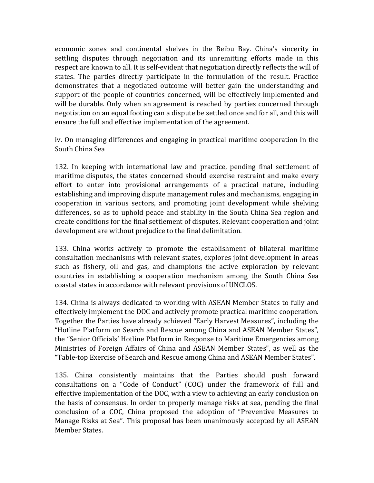economic zones and continental shelves in the Beibu Bay. China's sincerity in settling disputes through negotiation and its unremitting efforts made in this respect are known to all. It is self-evident that negotiation directly reflects the will of states. The parties directly participate in the formulation of the result. Practice demonstrates that a negotiated outcome will better gain the understanding and support of the people of countries concerned, will be effectively implemented and will be durable. Only when an agreement is reached by parties concerned through negotiation on an equal footing can a dispute be settled once and for all, and this will ensure the full and effective implementation of the agreement.

iv. On managing differences and engaging in practical maritime cooperation in the South China Sea

132. In keeping with international law and practice, pending final settlement of maritime disputes, the states concerned should exercise restraint and make every effort to enter into provisional arrangements of a practical nature, including establishing and improving dispute management rules and mechanisms, engaging in cooperation in various sectors, and promoting joint development while shelving differences, so as to uphold peace and stability in the South China Sea region and create conditions for the final settlement of disputes. Relevant cooperation and joint development are without prejudice to the final delimitation.

133. China works actively to promote the establishment of bilateral maritime consultation mechanisms with relevant states, explores joint development in areas such as fishery, oil and gas, and champions the active exploration by relevant countries in establishing a cooperation mechanism among the South China Sea coastal states in accordance with relevant provisions of UNCLOS.

134. China is always dedicated to working with ASEAN Member States to fully and effectively implement the DOC and actively promote practical maritime cooperation. Together the Parties have already achieved "Early Harvest Measures", including the "Hotline Platform on Search and Rescue among China and ASEAN Member States", the "Senior Officials' Hotline Platform in Response to Maritime Emergencies among Ministries of Foreign Affairs of China and ASEAN Member States", as well as the "Table-top Exercise of Search and Rescue among China and ASEAN Member States".

135. China consistently maintains that the Parties should push forward consultations on a "Code of Conduct" (COC) under the framework of full and effective implementation of the DOC, with a view to achieving an early conclusion on the basis of consensus. In order to properly manage risks at sea, pending the final conclusion of a COC, China proposed the adoption of "Preventive Measures to Manage Risks at Sea". This proposal has been unanimously accepted by all ASEAN Member States.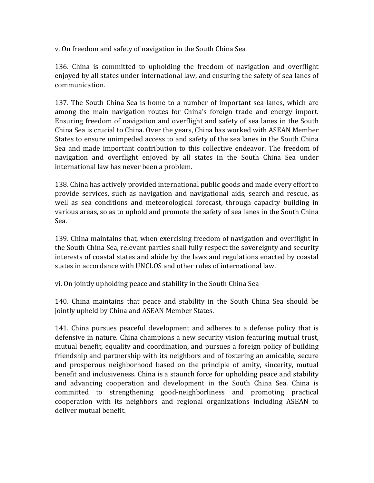v. On freedom and safety of navigation in the South China Sea

136. China is committed to upholding the freedom of navigation and overflight enjoyed by all states under international law, and ensuring the safety of sea lanes of communication.

137. The South China Sea is home to a number of important sea lanes, which are among the main navigation routes for China's foreign trade and energy import. Ensuring freedom of navigation and overflight and safety of sea lanes in the South China Sea is crucial to China. Over the years, China has worked with ASEAN Member States to ensure unimpeded access to and safety of the sea lanes in the South China Sea and made important contribution to this collective endeavor. The freedom of navigation and overflight enjoyed by all states in the South China Sea under international law has never been a problem.

138. China has actively provided international public goods and made every effort to provide services, such as navigation and navigational aids, search and rescue, as well as sea conditions and meteorological forecast, through capacity building in various areas, so as to uphold and promote the safety of sea lanes in the South China Sea.

139. China maintains that, when exercising freedom of navigation and overflight in the South China Sea, relevant parties shall fully respect the sovereignty and security interests of coastal states and abide by the laws and regulations enacted by coastal states in accordance with UNCLOS and other rules of international law.

vi. On jointly upholding peace and stability in the South China Sea

140. China maintains that peace and stability in the South China Sea should be jointly upheld by China and ASEAN Member States.

141. China pursues peaceful development and adheres to a defense policy that is defensive in nature. China champions a new security vision featuring mutual trust, mutual benefit, equality and coordination, and pursues a foreign policy of building friendship and partnership with its neighbors and of fostering an amicable, secure and prosperous neighborhood based on the principle of amity, sincerity, mutual benefit and inclusiveness. China is a staunch force for upholding peace and stability and advancing cooperation and development in the South China Sea. China is committed to strengthening good-neighborliness and promoting practical cooperation with its neighbors and regional organizations including ASEAN to deliver mutual benefit.